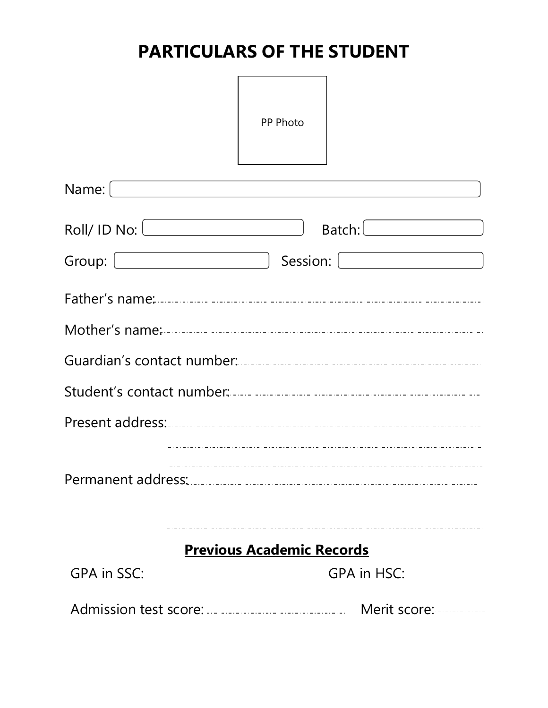# **PARTICULARS OF THE STUDENT**

|                                              | PP Photo                                                                                                                                                                                                                                        |
|----------------------------------------------|-------------------------------------------------------------------------------------------------------------------------------------------------------------------------------------------------------------------------------------------------|
|                                              |                                                                                                                                                                                                                                                 |
| Roll / 1D No:<br>Group: <u>Communication</u> | Batch:<br>Session: [ <b>willing the contract of the contract of the contract of the contract of the contract of the contract of the contract of the contract of the contract of the contract of the contract of the contract of the contrac</b> |
|                                              |                                                                                                                                                                                                                                                 |
|                                              |                                                                                                                                                                                                                                                 |
|                                              |                                                                                                                                                                                                                                                 |
|                                              |                                                                                                                                                                                                                                                 |
|                                              |                                                                                                                                                                                                                                                 |
|                                              |                                                                                                                                                                                                                                                 |
|                                              |                                                                                                                                                                                                                                                 |
|                                              | <b>Previous Academic Records</b>                                                                                                                                                                                                                |
|                                              |                                                                                                                                                                                                                                                 |
|                                              |                                                                                                                                                                                                                                                 |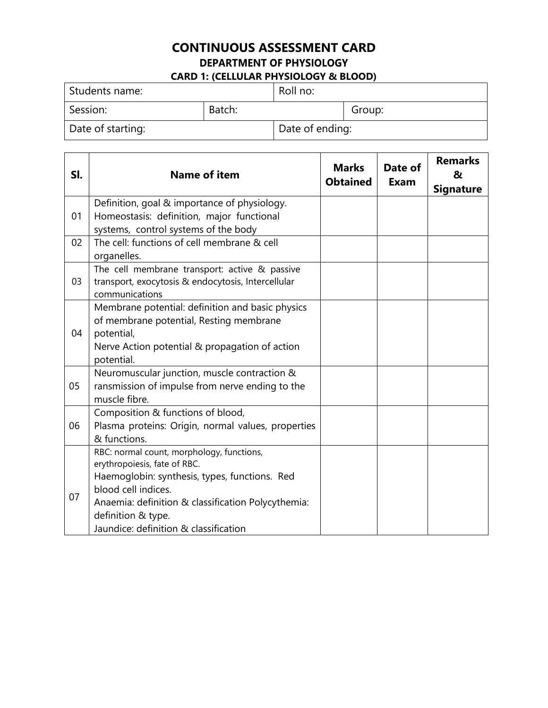### **CONTINUOUS ASSESSMENT CARD DEPARTMENT OF PHYSIOLOGY CARD 1: (CELLULAR PHYSIOLOGY & BLOOD)**

| Students name:    |        | Roll no:        |        |
|-------------------|--------|-----------------|--------|
| Session:          | Batch: |                 | Group: |
| Date of starting: |        | Date of ending: |        |

| SI. | <b>Name of item</b>                                        | <b>Marks</b><br><b>Obtained</b> | Date of<br><b>Exam</b> | <b>Remarks</b><br>&<br><b>Signature</b> |
|-----|------------------------------------------------------------|---------------------------------|------------------------|-----------------------------------------|
|     | Definition, goal & importance of physiology.               |                                 |                        |                                         |
| 01  | Homeostasis: definition, major functional                  |                                 |                        |                                         |
|     | systems, control systems of the body                       |                                 |                        |                                         |
| 02  | The cell: functions of cell membrane & cell                |                                 |                        |                                         |
|     | organelles.                                                |                                 |                        |                                         |
|     | The cell membrane transport: active & passive              |                                 |                        |                                         |
| 03  | transport, exocytosis & endocytosis, Intercellular         |                                 |                        |                                         |
|     | communications                                             |                                 |                        |                                         |
|     | Membrane potential: definition and basic physics           |                                 |                        |                                         |
|     | of membrane potential, Resting membrane                    |                                 |                        |                                         |
| 04  | potential,                                                 |                                 |                        |                                         |
|     | Nerve Action potential & propagation of action             |                                 |                        |                                         |
|     | potential.<br>Neuromuscular junction, muscle contraction & |                                 |                        |                                         |
| 05  | ransmission of impulse from nerve ending to the            |                                 |                        |                                         |
|     | muscle fibre.                                              |                                 |                        |                                         |
|     | Composition & functions of blood,                          |                                 |                        |                                         |
| 06  | Plasma proteins: Origin, normal values, properties         |                                 |                        |                                         |
|     | & functions.                                               |                                 |                        |                                         |
|     | RBC: normal count, morphology, functions,                  |                                 |                        |                                         |
|     | erythropoiesis, fate of RBC.                               |                                 |                        |                                         |
|     | Haemoglobin: synthesis, types, functions. Red              |                                 |                        |                                         |
|     | blood cell indices.                                        |                                 |                        |                                         |
| 07  | Anaemia: definition & classification Polycythemia:         |                                 |                        |                                         |
|     | definition & type.                                         |                                 |                        |                                         |
|     | Jaundice: definition & classification                      |                                 |                        |                                         |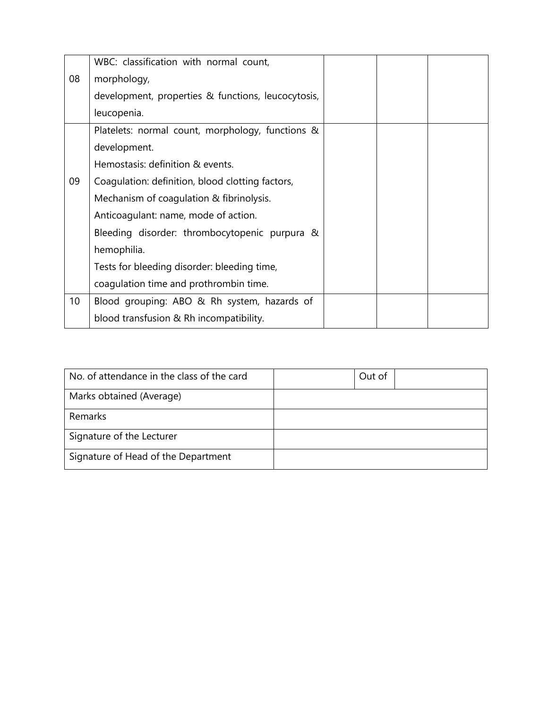|                 | WBC: classification with normal count,             |  |  |
|-----------------|----------------------------------------------------|--|--|
| 08              | morphology,                                        |  |  |
|                 | development, properties & functions, leucocytosis, |  |  |
|                 | leucopenia.                                        |  |  |
|                 | Platelets: normal count, morphology, functions &   |  |  |
|                 | development.                                       |  |  |
|                 | Hemostasis: definition & events.                   |  |  |
| 09              | Coagulation: definition, blood clotting factors,   |  |  |
|                 | Mechanism of coagulation & fibrinolysis.           |  |  |
|                 | Anticoagulant: name, mode of action.               |  |  |
|                 | Bleeding disorder: thrombocytopenic purpura &      |  |  |
|                 | hemophilia.                                        |  |  |
|                 | Tests for bleeding disorder: bleeding time,        |  |  |
|                 | coagulation time and prothrombin time.             |  |  |
| 10 <sup>1</sup> | Blood grouping: ABO & Rh system, hazards of        |  |  |
|                 | blood transfusion & Rh incompatibility.            |  |  |

| No. of attendance in the class of the card | Out of |  |
|--------------------------------------------|--------|--|
| Marks obtained (Average)                   |        |  |
| Remarks                                    |        |  |
| Signature of the Lecturer                  |        |  |
| Signature of Head of the Department        |        |  |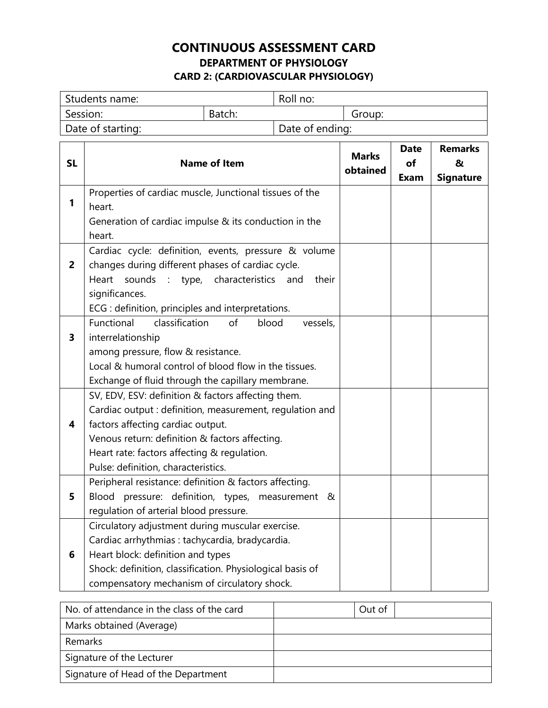### **CONTINUOUS ASSESSMENT CARD DEPARTMENT OF PHYSIOLOGY CARD 2: (CARDIOVASCULAR PHYSIOLOGY)**

| Students name:    |        | Roll no:        |        |
|-------------------|--------|-----------------|--------|
| Session:          | Batch: |                 | Group: |
| Date of starting: |        | Date of ending: |        |

| <b>SL</b>               | <b>Name of Item</b>                                                                                                                                                                                                                                                                         | <b>Marks</b><br>obtained | <b>Date</b><br>οf<br><b>Exam</b> | <b>Remarks</b><br>&<br><b>Signature</b> |
|-------------------------|---------------------------------------------------------------------------------------------------------------------------------------------------------------------------------------------------------------------------------------------------------------------------------------------|--------------------------|----------------------------------|-----------------------------------------|
| 1                       | Properties of cardiac muscle, Junctional tissues of the<br>heart.<br>Generation of cardiac impulse & its conduction in the<br>heart.                                                                                                                                                        |                          |                                  |                                         |
| $\overline{2}$          | Cardiac cycle: definition, events, pressure & volume<br>changes during different phases of cardiac cycle.<br>Heart<br>sounds<br>: type, characteristics<br>their<br>and<br>significances.<br>ECG : definition, principles and interpretations.                                              |                          |                                  |                                         |
| 3                       | classification<br>of<br>Functional<br>blood<br>vessels,<br>interrelationship<br>among pressure, flow & resistance.<br>Local & humoral control of blood flow in the tissues.<br>Exchange of fluid through the capillary membrane.                                                            |                          |                                  |                                         |
| $\overline{\mathbf{4}}$ | SV, EDV, ESV: definition & factors affecting them.<br>Cardiac output : definition, measurement, regulation and<br>factors affecting cardiac output.<br>Venous return: definition & factors affecting.<br>Heart rate: factors affecting & regulation.<br>Pulse: definition, characteristics. |                          |                                  |                                         |
| 5                       | Peripheral resistance: definition & factors affecting.<br>Blood pressure: definition, types, measurement &<br>regulation of arterial blood pressure.                                                                                                                                        |                          |                                  |                                         |
| 6                       | Circulatory adjustment during muscular exercise.<br>Cardiac arrhythmias : tachycardia, bradycardia.<br>Heart block: definition and types<br>Shock: definition, classification. Physiological basis of<br>compensatory mechanism of circulatory shock.                                       |                          |                                  |                                         |

| No. of attendance in the class of the card | Out of |
|--------------------------------------------|--------|
| Marks obtained (Average)                   |        |
| Remarks                                    |        |
| Signature of the Lecturer                  |        |
| Signature of Head of the Department        |        |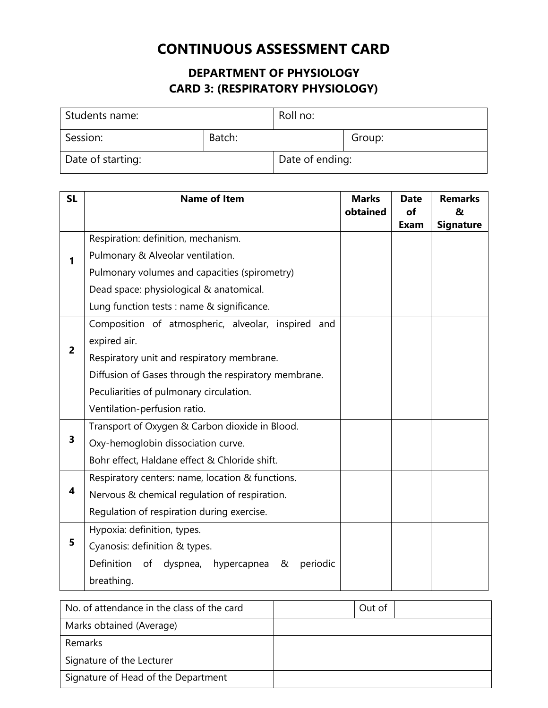### **DEPARTMENT OF PHYSIOLOGY CARD 3: (RESPIRATORY PHYSIOLOGY)**

| Students name:    |        | Roll no:        |        |
|-------------------|--------|-----------------|--------|
| Session:          | Batch: |                 | Group: |
| Date of starting: |        | Date of ending: |        |

| <b>SL</b>      | <b>Name of Item</b>                                    | <b>Marks</b><br>obtained | <b>Date</b><br>of | <b>Remarks</b><br>& |
|----------------|--------------------------------------------------------|--------------------------|-------------------|---------------------|
|                | Respiration: definition, mechanism.                    |                          | Exam              | <b>Signature</b>    |
|                |                                                        |                          |                   |                     |
| 1              | Pulmonary & Alveolar ventilation.                      |                          |                   |                     |
|                | Pulmonary volumes and capacities (spirometry)          |                          |                   |                     |
|                | Dead space: physiological & anatomical.                |                          |                   |                     |
|                | Lung function tests : name & significance.             |                          |                   |                     |
|                | Composition of atmospheric, alveolar, inspired<br>and  |                          |                   |                     |
|                | expired air.                                           |                          |                   |                     |
| $\overline{2}$ | Respiratory unit and respiratory membrane.             |                          |                   |                     |
|                | Diffusion of Gases through the respiratory membrane.   |                          |                   |                     |
|                | Peculiarities of pulmonary circulation.                |                          |                   |                     |
|                | Ventilation-perfusion ratio.                           |                          |                   |                     |
|                | Transport of Oxygen & Carbon dioxide in Blood.         |                          |                   |                     |
| 3              | Oxy-hemoglobin dissociation curve.                     |                          |                   |                     |
|                | Bohr effect, Haldane effect & Chloride shift.          |                          |                   |                     |
|                | Respiratory centers: name, location & functions.       |                          |                   |                     |
| 4              | Nervous & chemical regulation of respiration.          |                          |                   |                     |
|                | Regulation of respiration during exercise.             |                          |                   |                     |
|                | Hypoxia: definition, types.                            |                          |                   |                     |
| 5              | Cyanosis: definition & types.                          |                          |                   |                     |
|                | Definition<br>of dyspnea, hypercapnea<br>periodic<br>& |                          |                   |                     |
|                | breathing.                                             |                          |                   |                     |

| No. of attendance in the class of the card | Out of |
|--------------------------------------------|--------|
| Marks obtained (Average)                   |        |
| Remarks                                    |        |
| Signature of the Lecturer                  |        |
| Signature of Head of the Department        |        |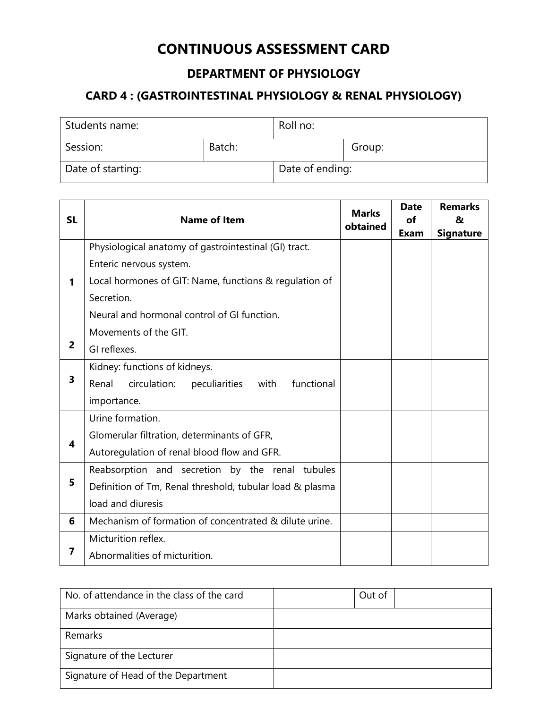### **DEPARTMENT OF PHYSIOLOGY**

### **CARD 4 : (GASTROINTESTINAL PHYSIOLOGY & RENAL PHYSIOLOGY)**

| Students name:    |        | Roll no:        |        |
|-------------------|--------|-----------------|--------|
| Session:          | Batch: |                 | Group: |
| Date of starting: |        | Date of ending: |        |

| <b>SL</b> | <b>Name of Item</b>                                          | <b>Marks</b><br>obtained | <b>Date</b><br>of<br>Exam | <b>Remarks</b><br>&<br><b>Signature</b> |
|-----------|--------------------------------------------------------------|--------------------------|---------------------------|-----------------------------------------|
|           | Physiological anatomy of gastrointestinal (GI) tract.        |                          |                           |                                         |
|           | Enteric nervous system.                                      |                          |                           |                                         |
| 1         | Local hormones of GIT: Name, functions & regulation of       |                          |                           |                                         |
|           | Secretion.                                                   |                          |                           |                                         |
|           | Neural and hormonal control of GI function.                  |                          |                           |                                         |
|           | Movements of the GIT.                                        |                          |                           |                                         |
| 2         | GI reflexes.                                                 |                          |                           |                                         |
|           | Kidney: functions of kidneys.                                |                          |                           |                                         |
| 3         | Renal<br>circulation:<br>functional<br>peculiarities<br>with |                          |                           |                                         |
|           | importance.                                                  |                          |                           |                                         |
|           | Urine formation.                                             |                          |                           |                                         |
| 4         | Glomerular filtration, determinants of GFR,                  |                          |                           |                                         |
|           | Autoregulation of renal blood flow and GFR.                  |                          |                           |                                         |
|           | Reabsorption and secretion by the renal tubules              |                          |                           |                                         |
| 5         | Definition of Tm, Renal threshold, tubular load & plasma     |                          |                           |                                         |
|           | load and diuresis                                            |                          |                           |                                         |
| 6         | Mechanism of formation of concentrated & dilute urine.       |                          |                           |                                         |
|           | Micturition reflex.                                          |                          |                           |                                         |
| 7         | Abnormalities of micturition.                                |                          |                           |                                         |

| No. of attendance in the class of the card | Out of |  |
|--------------------------------------------|--------|--|
| Marks obtained (Average)                   |        |  |
| Remarks                                    |        |  |
| Signature of the Lecturer                  |        |  |
| Signature of Head of the Department        |        |  |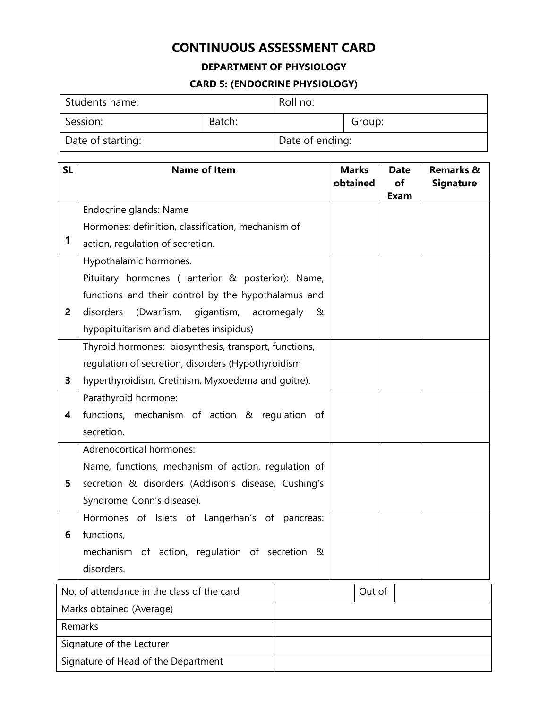#### **DEPARTMENT OF PHYSIOLOGY**

#### **CARD 5: (ENDOCRINE PHYSIOLOGY)**

| Students name:    |        | Roll no:        |        |
|-------------------|--------|-----------------|--------|
| Session:          | Batch: |                 | Group: |
| Date of starting: |        | Date of ending: |        |

| <b>SL</b>      | <b>Name of Item</b>                                   | <b>Marks</b><br>obtained | <b>Date</b><br>of | <b>Remarks &amp;</b><br><b>Signature</b> |
|----------------|-------------------------------------------------------|--------------------------|-------------------|------------------------------------------|
|                |                                                       |                          | Exam              |                                          |
|                | Endocrine glands: Name                                |                          |                   |                                          |
|                | Hormones: definition, classification, mechanism of    |                          |                   |                                          |
| 1              | action, regulation of secretion.                      |                          |                   |                                          |
|                | Hypothalamic hormones.                                |                          |                   |                                          |
|                | Pituitary hormones (anterior & posterior): Name,      |                          |                   |                                          |
|                | functions and their control by the hypothalamus and   |                          |                   |                                          |
| $\overline{2}$ | disorders<br>(Dwarfism, gigantism,<br>acromegaly<br>& |                          |                   |                                          |
|                | hypopituitarism and diabetes insipidus)               |                          |                   |                                          |
|                | Thyroid hormones: biosynthesis, transport, functions, |                          |                   |                                          |
|                | regulation of secretion, disorders (Hypothyroidism    |                          |                   |                                          |
| 3              | hyperthyroidism, Cretinism, Myxoedema and goitre).    |                          |                   |                                          |
|                | Parathyroid hormone:                                  |                          |                   |                                          |
| 4              | functions, mechanism of action & regulation of        |                          |                   |                                          |
|                | secretion.                                            |                          |                   |                                          |
|                | Adrenocortical hormones:                              |                          |                   |                                          |
|                | Name, functions, mechanism of action, regulation of   |                          |                   |                                          |
| 5              | secretion & disorders (Addison's disease, Cushing's   |                          |                   |                                          |
|                | Syndrome, Conn's disease).                            |                          |                   |                                          |
|                | Hormones of Islets of Langerhan's of pancreas:        |                          |                   |                                          |
| 6              | functions,                                            |                          |                   |                                          |
|                | mechanism of action, regulation of secretion &        |                          |                   |                                          |
|                | disorders.                                            |                          |                   |                                          |
|                |                                                       |                          |                   |                                          |

| No. of attendance in the class of the card | Out of |
|--------------------------------------------|--------|
| Marks obtained (Average)                   |        |
| Remarks                                    |        |
| Signature of the Lecturer                  |        |
| Signature of Head of the Department        |        |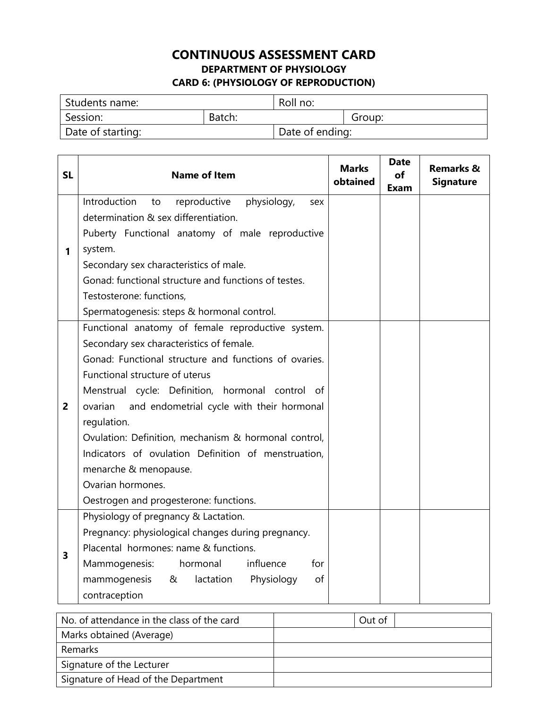### **CONTINUOUS ASSESSMENT CARD DEPARTMENT OF PHYSIOLOGY CARD 6: (PHYSIOLOGY OF REPRODUCTION)**

| I Students name:  |        | Roll no:        |        |
|-------------------|--------|-----------------|--------|
| Session:          | Batch: |                 | Group: |
| Date of starting: |        | Date of ending: |        |

| <b>SL</b>      | <b>Name of Item</b>                                                                                                                                                                                                                                                                                                                                                                                                                                                                                                        | <b>Marks</b><br>obtained | <b>Date</b><br>οf<br>Exam | <b>Remarks &amp;</b><br><b>Signature</b> |
|----------------|----------------------------------------------------------------------------------------------------------------------------------------------------------------------------------------------------------------------------------------------------------------------------------------------------------------------------------------------------------------------------------------------------------------------------------------------------------------------------------------------------------------------------|--------------------------|---------------------------|------------------------------------------|
| 1              | Introduction<br>reproductive<br>physiology,<br>to<br>sex<br>determination & sex differentiation.<br>Puberty Functional anatomy of male reproductive<br>system.<br>Secondary sex characteristics of male.<br>Gonad: functional structure and functions of testes.<br>Testosterone: functions,<br>Spermatogenesis: steps & hormonal control.                                                                                                                                                                                 |                          |                           |                                          |
| $\overline{2}$ | Functional anatomy of female reproductive system.<br>Secondary sex characteristics of female.<br>Gonad: Functional structure and functions of ovaries.<br>Functional structure of uterus<br>Menstrual cycle: Definition, hormonal control of<br>and endometrial cycle with their hormonal<br>ovarian<br>regulation.<br>Ovulation: Definition, mechanism & hormonal control,<br>Indicators of ovulation Definition of menstruation,<br>menarche & menopause.<br>Ovarian hormones.<br>Oestrogen and progesterone: functions. |                          |                           |                                          |
| 3              | Physiology of pregnancy & Lactation.<br>Pregnancy: physiological changes during pregnancy.<br>Placental hormones: name & functions.<br>influence<br>for<br>Mammogenesis:<br>hormonal<br>mammogenesis<br>&<br>lactation<br>Physiology<br>of<br>contraception                                                                                                                                                                                                                                                                |                          |                           |                                          |

| No. of attendance in the class of the card | Out of |
|--------------------------------------------|--------|
| Marks obtained (Average)                   |        |
| Remarks                                    |        |
| Signature of the Lecturer                  |        |
| Signature of Head of the Department        |        |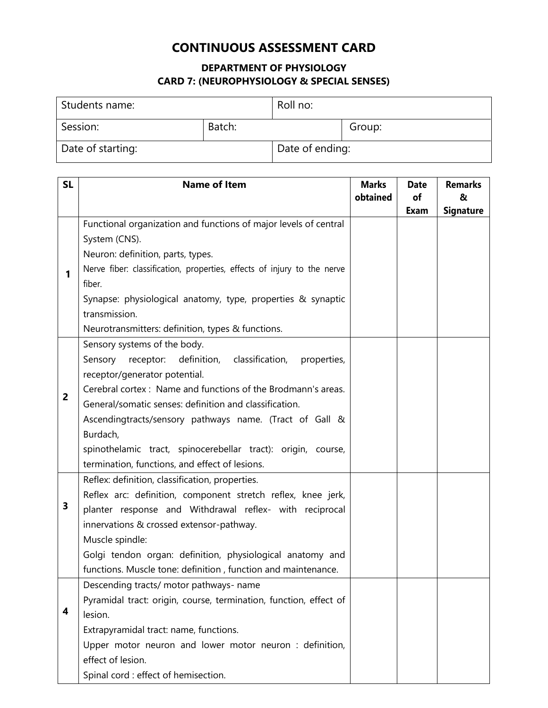#### **DEPARTMENT OF PHYSIOLOGY CARD 7: (NEUROPHYSIOLOGY & SPECIAL SENSES)**

| Students name:    |        | Roll no:        |        |
|-------------------|--------|-----------------|--------|
| Session:          | Batch: |                 | Group: |
| Date of starting: |        | Date of ending: |        |

| <b>SL</b>      | <b>Name of Item</b>                                                     | <b>Marks</b> | <b>Date</b> | <b>Remarks</b>   |
|----------------|-------------------------------------------------------------------------|--------------|-------------|------------------|
|                |                                                                         | obtained     | of          | &                |
|                |                                                                         |              | Exam        | <b>Signature</b> |
|                | Functional organization and functions of major levels of central        |              |             |                  |
|                | System (CNS).                                                           |              |             |                  |
|                | Neuron: definition, parts, types.                                       |              |             |                  |
| 1              | Nerve fiber: classification, properties, effects of injury to the nerve |              |             |                  |
|                | fiber.                                                                  |              |             |                  |
|                | Synapse: physiological anatomy, type, properties & synaptic             |              |             |                  |
|                | transmission.                                                           |              |             |                  |
|                | Neurotransmitters: definition, types & functions.                       |              |             |                  |
|                | Sensory systems of the body.                                            |              |             |                  |
|                | Sensory receptor:<br>definition, classification,<br>properties,         |              |             |                  |
|                | receptor/generator potential.                                           |              |             |                  |
| $\overline{2}$ | Cerebral cortex: Name and functions of the Brodmann's areas.            |              |             |                  |
|                | General/somatic senses: definition and classification.                  |              |             |                  |
|                | Ascendingtracts/sensory pathways name. (Tract of Gall &                 |              |             |                  |
|                | Burdach,                                                                |              |             |                  |
|                | spinothelamic tract, spinocerebellar tract): origin, course,            |              |             |                  |
|                | termination, functions, and effect of lesions.                          |              |             |                  |
|                | Reflex: definition, classification, properties.                         |              |             |                  |
|                | Reflex arc: definition, component stretch reflex, knee jerk,            |              |             |                  |
| 3              | planter response and Withdrawal reflex- with reciprocal                 |              |             |                  |
|                | innervations & crossed extensor-pathway.                                |              |             |                  |
|                | Muscle spindle:                                                         |              |             |                  |
|                | Golgi tendon organ: definition, physiological anatomy and               |              |             |                  |
|                | functions. Muscle tone: definition, function and maintenance.           |              |             |                  |
|                | Descending tracts/ motor pathways- name                                 |              |             |                  |
|                | Pyramidal tract: origin, course, termination, function, effect of       |              |             |                  |
| 4              | lesion.                                                                 |              |             |                  |
|                | Extrapyramidal tract: name, functions.                                  |              |             |                  |
|                | Upper motor neuron and lower motor neuron : definition,                 |              |             |                  |
|                | effect of lesion.                                                       |              |             |                  |
|                | Spinal cord : effect of hemisection.                                    |              |             |                  |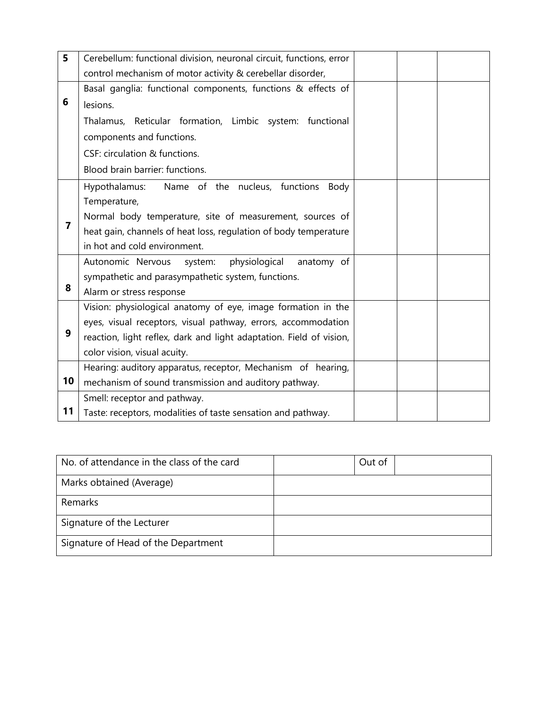| 5  | Cerebellum: functional division, neuronal circuit, functions, error |  |  |
|----|---------------------------------------------------------------------|--|--|
|    | control mechanism of motor activity & cerebellar disorder,          |  |  |
|    | Basal ganglia: functional components, functions & effects of        |  |  |
| 6  | lesions.                                                            |  |  |
|    | Thalamus, Reticular formation, Limbic system: functional            |  |  |
|    | components and functions.                                           |  |  |
|    | CSF: circulation & functions.                                       |  |  |
|    | Blood brain barrier: functions.                                     |  |  |
|    | Name of the nucleus, functions<br>Hypothalamus:<br>Body             |  |  |
|    | Temperature,                                                        |  |  |
|    | Normal body temperature, site of measurement, sources of            |  |  |
| 7  | heat gain, channels of heat loss, regulation of body temperature    |  |  |
|    | in hot and cold environment.                                        |  |  |
|    | Autonomic Nervous<br>physiological<br>anatomy of<br>system:         |  |  |
|    | sympathetic and parasympathetic system, functions.                  |  |  |
| 8  | Alarm or stress response                                            |  |  |
|    | Vision: physiological anatomy of eye, image formation in the        |  |  |
|    | eyes, visual receptors, visual pathway, errors, accommodation       |  |  |
| 9  | reaction, light reflex, dark and light adaptation. Field of vision, |  |  |
|    | color vision, visual acuity.                                        |  |  |
|    | Hearing: auditory apparatus, receptor, Mechanism of hearing,        |  |  |
| 10 | mechanism of sound transmission and auditory pathway.               |  |  |
|    | Smell: receptor and pathway.                                        |  |  |
| 11 | Taste: receptors, modalities of taste sensation and pathway.        |  |  |

| No. of attendance in the class of the card | Out of |
|--------------------------------------------|--------|
| Marks obtained (Average)                   |        |
| Remarks                                    |        |
| Signature of the Lecturer                  |        |
| Signature of Head of the Department        |        |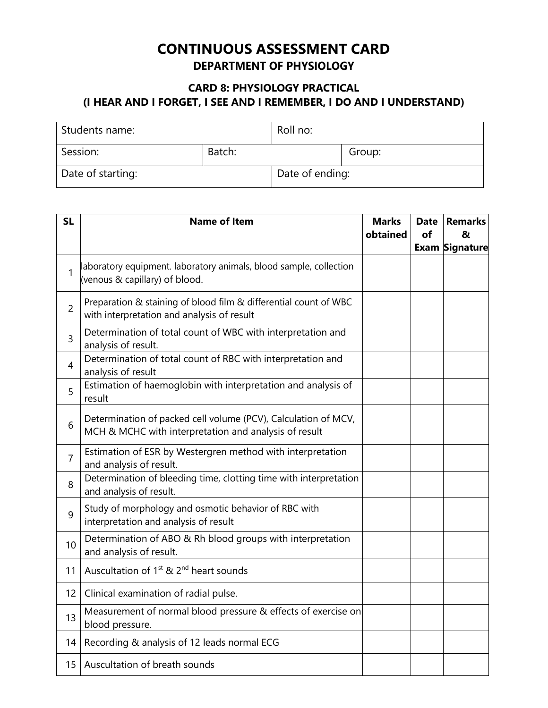### **CONTINUOUS ASSESSMENT CARD DEPARTMENT OF PHYSIOLOGY**

#### **CARD 8: PHYSIOLOGY PRACTICAL (I HEAR AND I FORGET, I SEE AND I REMEMBER, I DO AND I UNDERSTAND)**

| Students name:    |        | Roll no:        |        |
|-------------------|--------|-----------------|--------|
| Session:          | Batch: |                 | Group: |
| Date of starting: |        | Date of ending: |        |

| <b>SL</b>      | <b>Name of Item</b>                                                                                                     | <b>Marks</b> | <b>Date</b> | <b>Remarks</b>        |
|----------------|-------------------------------------------------------------------------------------------------------------------------|--------------|-------------|-----------------------|
|                |                                                                                                                         | obtained     | of          | &                     |
|                |                                                                                                                         |              |             | <b>Exam Signature</b> |
| $\mathbf{1}$   | aboratory equipment. laboratory animals, blood sample, collection<br>(venous & capillary) of blood.                     |              |             |                       |
| $\overline{2}$ | Preparation & staining of blood film & differential count of WBC<br>with interpretation and analysis of result          |              |             |                       |
| 3              | Determination of total count of WBC with interpretation and<br>analysis of result.                                      |              |             |                       |
| 4              | Determination of total count of RBC with interpretation and<br>analysis of result                                       |              |             |                       |
| 5              | Estimation of haemoglobin with interpretation and analysis of<br>result                                                 |              |             |                       |
| 6              | Determination of packed cell volume (PCV), Calculation of MCV,<br>MCH & MCHC with interpretation and analysis of result |              |             |                       |
| $\overline{7}$ | Estimation of ESR by Westergren method with interpretation<br>and analysis of result.                                   |              |             |                       |
| 8              | Determination of bleeding time, clotting time with interpretation<br>and analysis of result.                            |              |             |                       |
| 9              | Study of morphology and osmotic behavior of RBC with<br>interpretation and analysis of result                           |              |             |                       |
| 10             | Determination of ABO & Rh blood groups with interpretation<br>and analysis of result.                                   |              |             |                       |
| 11             | Auscultation of 1 <sup>st</sup> & 2 <sup>nd</sup> heart sounds                                                          |              |             |                       |
| 12             | Clinical examination of radial pulse.                                                                                   |              |             |                       |
| 13             | Measurement of normal blood pressure & effects of exercise on<br>blood pressure.                                        |              |             |                       |
| 14             | Recording & analysis of 12 leads normal ECG                                                                             |              |             |                       |
| 15             | Auscultation of breath sounds                                                                                           |              |             |                       |